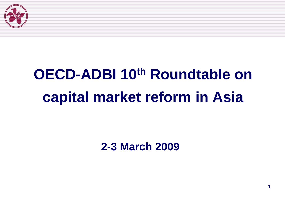

# **OECD-ADBI 10th Roundtable on capital market reform in Asia**

**2-3 March 2009**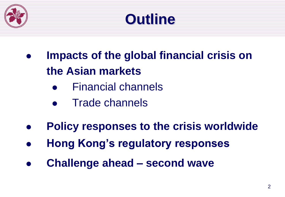

### **Outline**

- **Impacts of the global financial crisis on the Asian markets**
	- Financial channels
	- Trade channels
- **Policy responses to the crisis worldwide**
- **Hong Kong's regulatory responses**
- **Challenge ahead – second wave**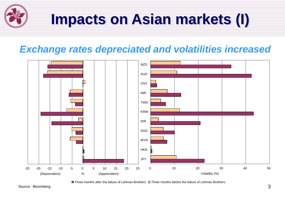

#### *Exchange rates depreciated and volatilities increased*



Three months after the failure of Lehman Brothers Three months before the failure of Lehman Brothers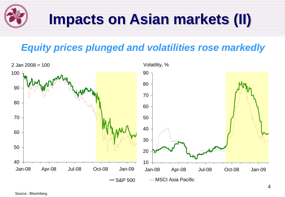# **Impacts on Asian markets (II)**

#### *Equity prices plunged and volatilities rose markedly*

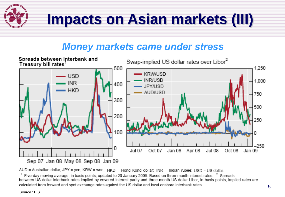

#### *Money markets came under stress*



AUD = Australian dollar; JPY = yen; KRW = won; HKD = Hong Kong dollar; INR = Indian rupee; USD = US dollar.

 $^1$  Five-day moving average, in basis points; updated to 20 January 2009. Based on three-month interest rates.  $^2$  Spreads between US dollar interbank rates implied by covered interest parity and three-month US dollar Libor, in basis points; implied rates are calculated from forward and spot exchange rates against the US dollar and local onshore interbank rates.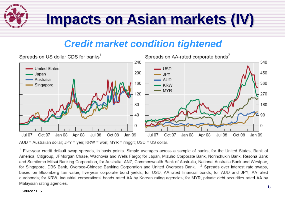

#### *Credit market condition tightened*



AUD = Australian dollar; JPY = yen; KRW = won; MYR = ringgit; USD = US dollar.

<sup>1</sup> Five-year credit default swap spreads, in basis points. Simple averages across a sample of banks; for the United States, Bank of America, Citigroup, JPMorgan Chase, Wachovia and Wells Fargo; for Japan, Mizuho Corporate Bank, Norinchukin Bank, Resona Bank and Sumitomo Mitsui Banking Corporation; for Australia, ANZ, Commonwealth Bank of Australia, National Australia Bank and Westpac; for Singapore, DBS Bank, Oversea-Chinese Banking Corporation and United Overseas Bank. <sup>2</sup> Spreads over interest rate swaps, based on Bloomberg fair value, five-year corporate bond yields; for USD, AA-rated financial bonds; for AUD and JPY, AA-rated eurobonds; for KRW, industrial corporations' bonds rated AA by Korean rating agencies; for MYR, private debt securities rated AA by Malaysian rating agencies.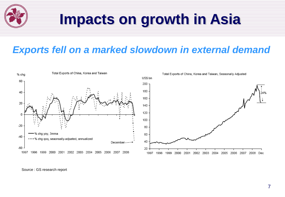

## **Impacts on growth in Asia**

#### *Exports fell on a marked slowdown in external demand*



Source : GS research report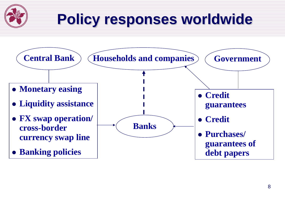# **Policy responses worldwide**

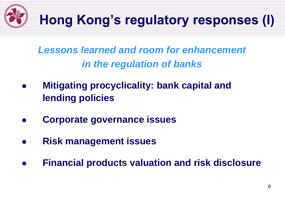

*Lessons learned and room for enhancement in the regulation of banks*

- **Mitigating procyclicality: bank capital and lending policies**
- **Corporate governance issues**
- **Risk management issues**
- **Financial products valuation and risk disclosure**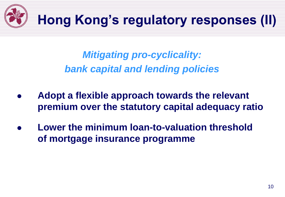

*Mitigating pro-cyclicality: bank capital and lending policies*

- **Adopt a flexible approach towards the relevant premium over the statutory capital adequacy ratio**
- **Lower the minimum loan-to-valuation threshold of mortgage insurance programme**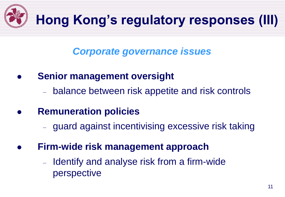

#### *Corporate governance issues*

- **Senior management oversight**
	- balance between risk appetite and risk controls
- **Remuneration policies**
	- guard against incentivising excessive risk taking
- **Firm-wide risk management approach**
	- Identify and analyse risk from a firm-wide perspective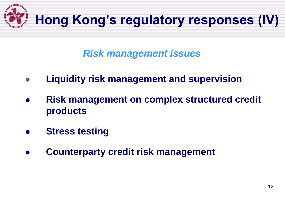

#### *Risk management issues*

- **Liquidity risk management and supervision**
- **Risk management on complex structured credit products**
- **Stress testing**
- **Counterparty credit risk management**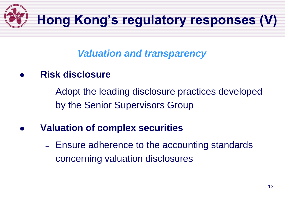

#### *Valuation and transparency*

**Risk disclosure** 

– Adopt the leading disclosure practices developed by the Senior Supervisors Group

- **Valuation of complex securities**
	- Ensure adherence to the accounting standards concerning valuation disclosures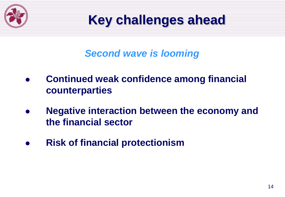

### **Key challenges ahead**

#### *Second wave is looming*

- **Continued weak confidence among financial counterparties**
- **Negative interaction between the economy and the financial sector**
- **Risk of financial protectionism**